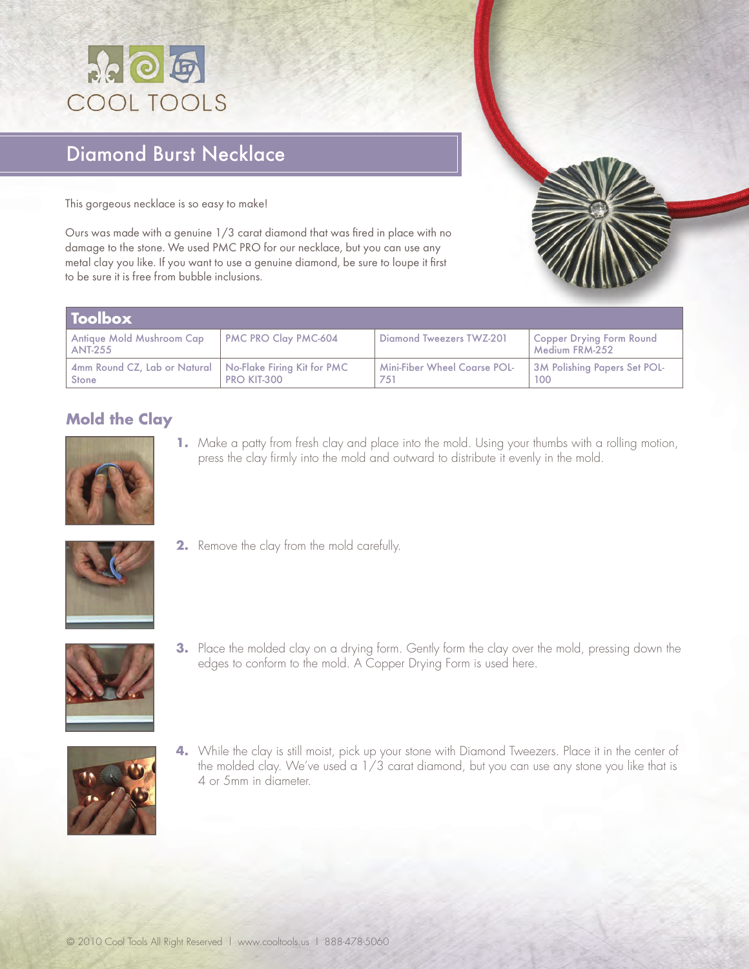

## Diamond Burst Necklace

This gorgeous necklace is so easy to make!

Ours was made with a genuine 1/3 carat diamond that was fired in place with no damage to the stone. We used PMC PRO for our necklace, but you can use any metal clay you like. If you want to use a genuine diamond, be sure to loupe it first to be sure it is free from bubble inclusions.

| <b>Toolbox</b>                                                      |                      |                                            |                                            |
|---------------------------------------------------------------------|----------------------|--------------------------------------------|--------------------------------------------|
| Antique Mold Mushroom Cap<br><b>ANT-255</b>                         | PMC PRO Clay PMC-604 | Diamond Tweezers TWZ-201                   | Copper Drying Form Round<br>Medium FRM-252 |
| 4mm Round CZ, Lab or Natural   No-Flake Firing Kit for PMC<br>Stone | PRO KIT-300          | <b>Mini-Fiber Wheel Coarse POL-</b><br>751 | 3M Polishing Papers Set POL-<br>100        |

## **Mold the Clay**



**1.** Make a patty from fresh clay and place into the mold. Using your thumbs with a rolling motion, press the clay firmly into the mold and outward to distribute it evenly in the mold.



**2.** Remove the clay from the mold carefully.



**3.** Place the molded clay on a drying form. Gently form the clay over the mold, pressing down the edges to conform to the mold. A Copper Drying Form is used here.



**4.** While the clay is still moist, pick up your stone with Diamond Tweezers. Place it in the center of the molded clay. We've used a 1/3 carat diamond, but you can use any stone you like that is 4 or 5mm in diameter.